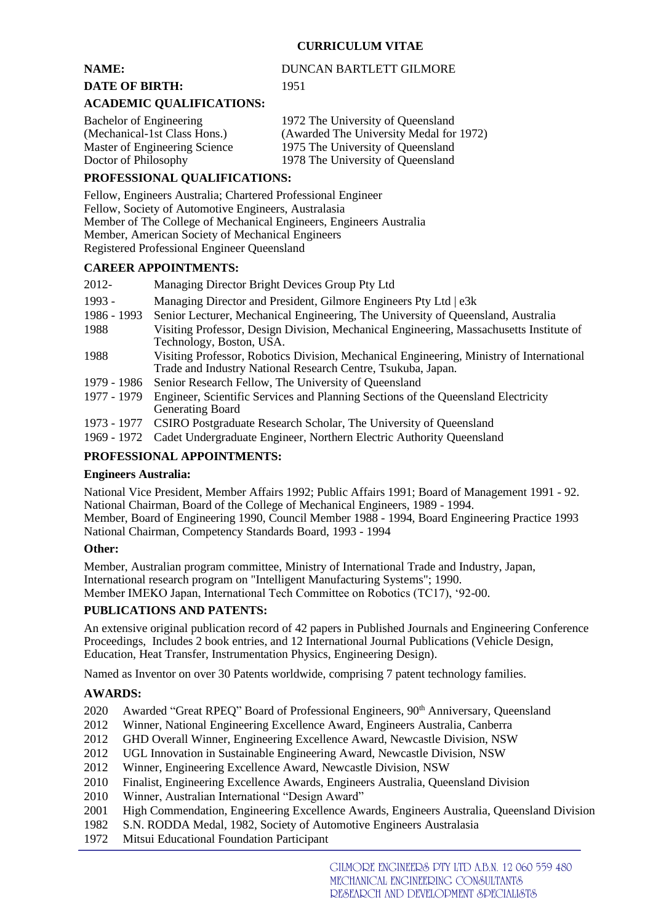# **CURRICULUM VITAE**

### **NAME:** DUNCAN BARTLETT GILMORE **DATE OF BIRTH:** 1951

### **ACADEMIC QUALIFICATIONS:**

Bachelor of Engineering 1972 The University of Queensland (Mechanical-1st Class Hons.) (Awarded The University Medal for 1972) Master of Engineering Science 1975 The University of Queensland Doctor of Philosophy 1978 The University of Queensland

# **PROFESSIONAL QUALIFICATIONS:**

Fellow, Engineers Australia; Chartered Professional Engineer Fellow, Society of Automotive Engineers, Australasia Member of The College of Mechanical Engineers, Engineers Australia Member, American Society of Mechanical Engineers Registered Professional Engineer Queensland

# **CAREER APPOINTMENTS:**

| 2012-       | Managing Director Bright Devices Group Pty Ltd                                                                                                           |
|-------------|----------------------------------------------------------------------------------------------------------------------------------------------------------|
| 1993 -      | Managing Director and President, Gilmore Engineers Pty Ltd   e3k                                                                                         |
| 1986 - 1993 | Senior Lecturer, Mechanical Engineering, The University of Queensland, Australia                                                                         |
| 1988        | Visiting Professor, Design Division, Mechanical Engineering, Massachusetts Institute of<br>Technology, Boston, USA.                                      |
| 1988        | Visiting Professor, Robotics Division, Mechanical Engineering, Ministry of International<br>Trade and Industry National Research Centre, Tsukuba, Japan. |
| 1979 - 1986 | Senior Research Fellow, The University of Queensland                                                                                                     |
| 1977 - 1979 | Engineer, Scientific Services and Planning Sections of the Queensland Electricity<br><b>Generating Board</b>                                             |
| 1973 - 1977 | CSIRO Postgraduate Research Scholar, The University of Queensland                                                                                        |
| 1969 - 1972 | Cadet Undergraduate Engineer, Northern Electric Authority Queensland                                                                                     |

### **PROFESSIONAL APPOINTMENTS:**

#### **Engineers Australia:**

National Vice President, Member Affairs 1992; Public Affairs 1991; Board of Management 1991 - 92. National Chairman, Board of the College of Mechanical Engineers, 1989 - 1994.

Member, Board of Engineering 1990, Council Member 1988 - 1994, Board Engineering Practice 1993 National Chairman, Competency Standards Board, 1993 - 1994

# **Other:**

Member, Australian program committee, Ministry of International Trade and Industry, Japan, International research program on "Intelligent Manufacturing Systems"; 1990. Member IMEKO Japan, International Tech Committee on Robotics (TC17), '92-00.

# **PUBLICATIONS AND PATENTS:**

An extensive original publication record of 42 papers in Published Journals and Engineering Conference Proceedings, Includes 2 book entries, and 12 International Journal Publications (Vehicle Design, Education, Heat Transfer, Instrumentation Physics, Engineering Design).

Named as Inventor on over 30 Patents worldwide, comprising 7 patent technology families.

# **AWARDS:**

- 2020 Awarded "Great RPEQ" Board of Professional Engineers, 90<sup>th</sup> Anniversary, Queensland
- 2012 Winner, National Engineering Excellence Award, Engineers Australia, Canberra
- 2012 GHD Overall Winner, Engineering Excellence Award, Newcastle Division, NSW
- 2012 UGL Innovation in Sustainable Engineering Award, Newcastle Division, NSW
- 2012 Winner, Engineering Excellence Award, Newcastle Division, NSW
- 2010 Finalist, Engineering Excellence Awards, Engineers Australia, Queensland Division
- 2010 Winner, Australian International "Design Award"
- 2001 High Commendation, Engineering Excellence Awards, Engineers Australia, Queensland Division
- 1982 S.N. RODDA Medal, 1982, Society of Automotive Engineers Australasia
- 1972 Mitsui Educational Foundation Participant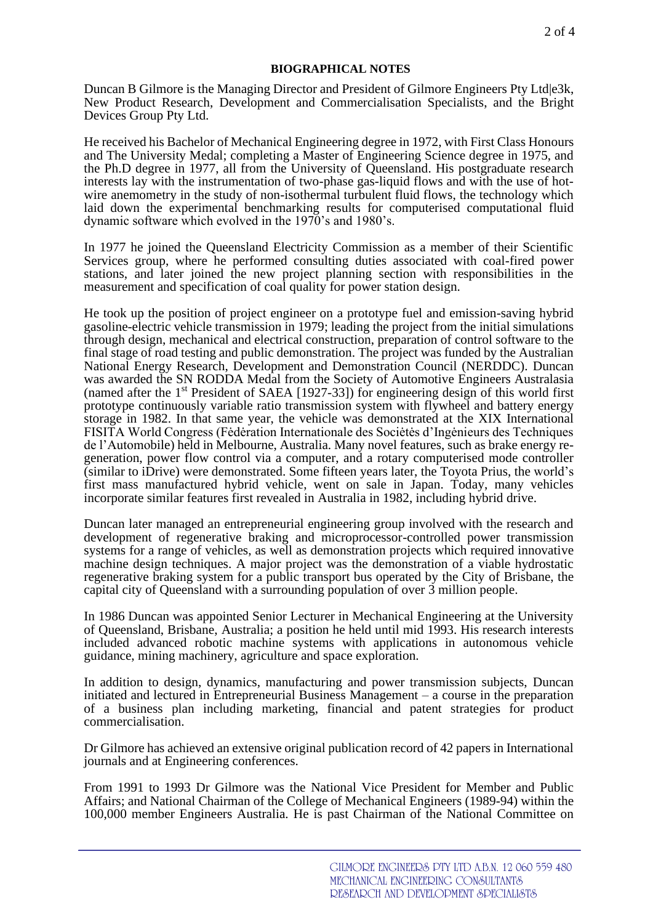### **BIOGRAPHICAL NOTES**

Duncan B Gilmore is the Managing Director and President of Gilmore Engineers Pty Ltd|e3k, New Product Research, Development and Commercialisation Specialists, and the Bright Devices Group Pty Ltd.

He received his Bachelor of Mechanical Engineering degree in 1972, with First Class Honours and The University Medal; completing a Master of Engineering Science degree in 1975, and the Ph.D degree in 1977, all from the University of Queensland. His postgraduate research interests lay with the instrumentation of two-phase gas-liquid flows and with the use of hotwire anemometry in the study of non-isothermal turbulent fluid flows, the technology which laid down the experimental benchmarking results for computerised computational fluid dynamic software which evolved in the 1970's and 1980's.

In 1977 he joined the Queensland Electricity Commission as a member of their Scientific Services group, where he performed consulting duties associated with coal-fired power stations, and later joined the new project planning section with responsibilities in the measurement and specification of coal quality for power station design.

He took up the position of project engineer on a prototype fuel and emission-saving hybrid gasoline-electric vehicle transmission in 1979; leading the project from the initial simulations through design, mechanical and electrical construction, preparation of control software to the final stage of road testing and public demonstration. The project was funded by the Australian National Energy Research, Development and Demonstration Council (NERDDC). Duncan was awarded the SN RODDA Medal from the Society of Automotive Engineers Australasia (named after the 1st President of SAEA [1927-33]) for engineering design of this world first prototype continuously variable ratio transmission system with flywheel and battery energy storage in 1982. In that same year, the vehicle was demonstrated at the XIX International FISITA World Congress (Fėdėration Internationale des Sociėtės d'Ingėnieurs des Techniques de l'Automobile) held in Melbourne, Australia. Many novel features, such as brake energy regeneration, power flow control via a computer, and a rotary computerised mode controller (similar to iDrive) were demonstrated. Some fifteen years later, the Toyota Prius, the world's first mass manufactured hybrid vehicle, went on sale in Japan. Today, many vehicles incorporate similar features first revealed in Australia in 1982, including hybrid drive.

Duncan later managed an entrepreneurial engineering group involved with the research and development of regenerative braking and microprocessor-controlled power transmission systems for a range of vehicles, as well as demonstration projects which required innovative machine design techniques. A major project was the demonstration of a viable hydrostatic regenerative braking system for a public transport bus operated by the City of Brisbane, the capital city of Queensland with a surrounding population of over 3 million people.

In 1986 Duncan was appointed Senior Lecturer in Mechanical Engineering at the University of Queensland, Brisbane, Australia; a position he held until mid 1993. His research interests included advanced robotic machine systems with applications in autonomous vehicle guidance, mining machinery, agriculture and space exploration.

In addition to design, dynamics, manufacturing and power transmission subjects, Duncan initiated and lectured in Entrepreneurial Business Management – a course in the preparation of a business plan including marketing, financial and patent strategies for product commercialisation.

Dr Gilmore has achieved an extensive original publication record of 42 papers in International journals and at Engineering conferences.

From 1991 to 1993 Dr Gilmore was the National Vice President for Member and Public Affairs; and National Chairman of the College of Mechanical Engineers (1989-94) within the 100,000 member Engineers Australia. He is past Chairman of the National Committee on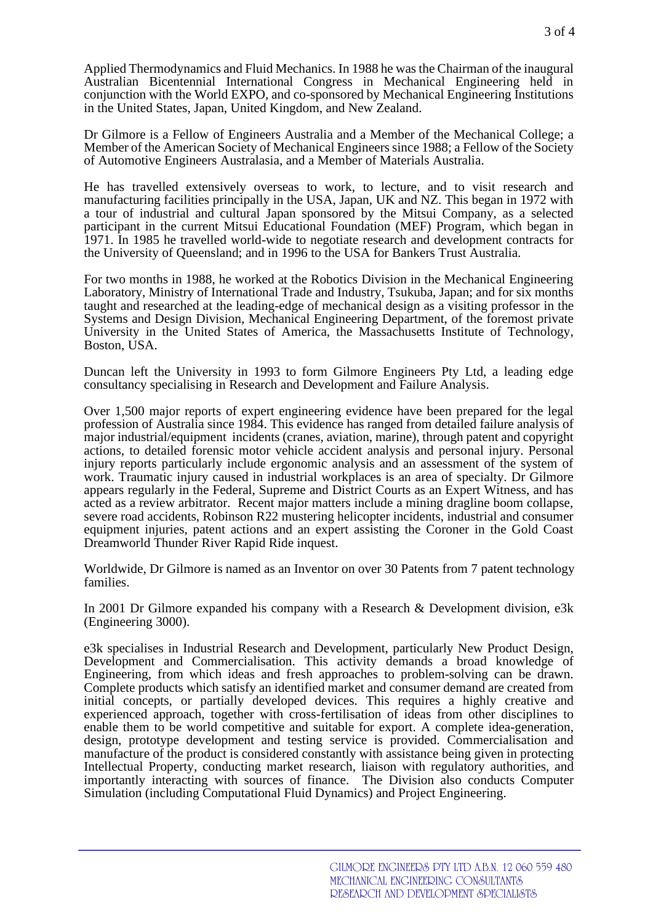Applied Thermodynamics and Fluid Mechanics. In 1988 he was the Chairman of the inaugural Australian Bicentennial International Congress in Mechanical Engineering held in conjunction with the World EXPO, and co-sponsored by Mechanical Engineering Institutions in the United States, Japan, United Kingdom, and New Zealand.

Dr Gilmore is a Fellow of Engineers Australia and a Member of the Mechanical College; a Member of the American Society of Mechanical Engineers since 1988; a Fellow of the Society of Automotive Engineers Australasia, and a Member of Materials Australia.

He has travelled extensively overseas to work, to lecture, and to visit research and manufacturing facilities principally in the USA, Japan, UK and NZ. This began in 1972 with a tour of industrial and cultural Japan sponsored by the Mitsui Company, as a selected participant in the current Mitsui Educational Foundation (MEF) Program, which began in 1971. In 1985 he travelled world-wide to negotiate research and development contracts for the University of Queensland; and in 1996 to the USA for Bankers Trust Australia.

For two months in 1988, he worked at the Robotics Division in the Mechanical Engineering Laboratory, Ministry of International Trade and Industry, Tsukuba, Japan; and for six months taught and researched at the leading-edge of mechanical design as a visiting professor in the Systems and Design Division, Mechanical Engineering Department, of the foremost private University in the United States of America, the Massachusetts Institute of Technology, Boston, USA.

Duncan left the University in 1993 to form Gilmore Engineers Pty Ltd, a leading edge consultancy specialising in Research and Development and Failure Analysis.

Over 1,500 major reports of expert engineering evidence have been prepared for the legal profession of Australia since 1984. This evidence has ranged from detailed failure analysis of major industrial/equipment incidents (cranes, aviation, marine), through patent and copyright actions, to detailed forensic motor vehicle accident analysis and personal injury. Personal injury reports particularly include ergonomic analysis and an assessment of the system of work. Traumatic injury caused in industrial workplaces is an area of specialty. Dr Gilmore appears regularly in the Federal, Supreme and District Courts as an Expert Witness, and has acted as a review arbitrator. Recent major matters include a mining dragline boom collapse, severe road accidents, Robinson R22 mustering helicopter incidents, industrial and consumer equipment injuries, patent actions and an expert assisting the Coroner in the Gold Coast Dreamworld Thunder River Rapid Ride inquest.

Worldwide, Dr Gilmore is named as an Inventor on over 30 Patents from 7 patent technology families.

In 2001 Dr Gilmore expanded his company with a Research & Development division, e3k (Engineering 3000).

e3k specialises in Industrial Research and Development, particularly New Product Design, Development and Commercialisation. This activity demands a broad knowledge of Engineering, from which ideas and fresh approaches to problem-solving can be drawn. Complete products which satisfy an identified market and consumer demand are created from initial concepts, or partially developed devices. This requires a highly creative and experienced approach, together with cross-fertilisation of ideas from other disciplines to enable them to be world competitive and suitable for export. A complete idea-generation, design, prototype development and testing service is provided. Commercialisation and manufacture of the product is considered constantly with assistance being given in protecting Intellectual Property, conducting market research, liaison with regulatory authorities, and importantly interacting with sources of finance. The Division also conducts Computer Simulation (including Computational Fluid Dynamics) and Project Engineering.